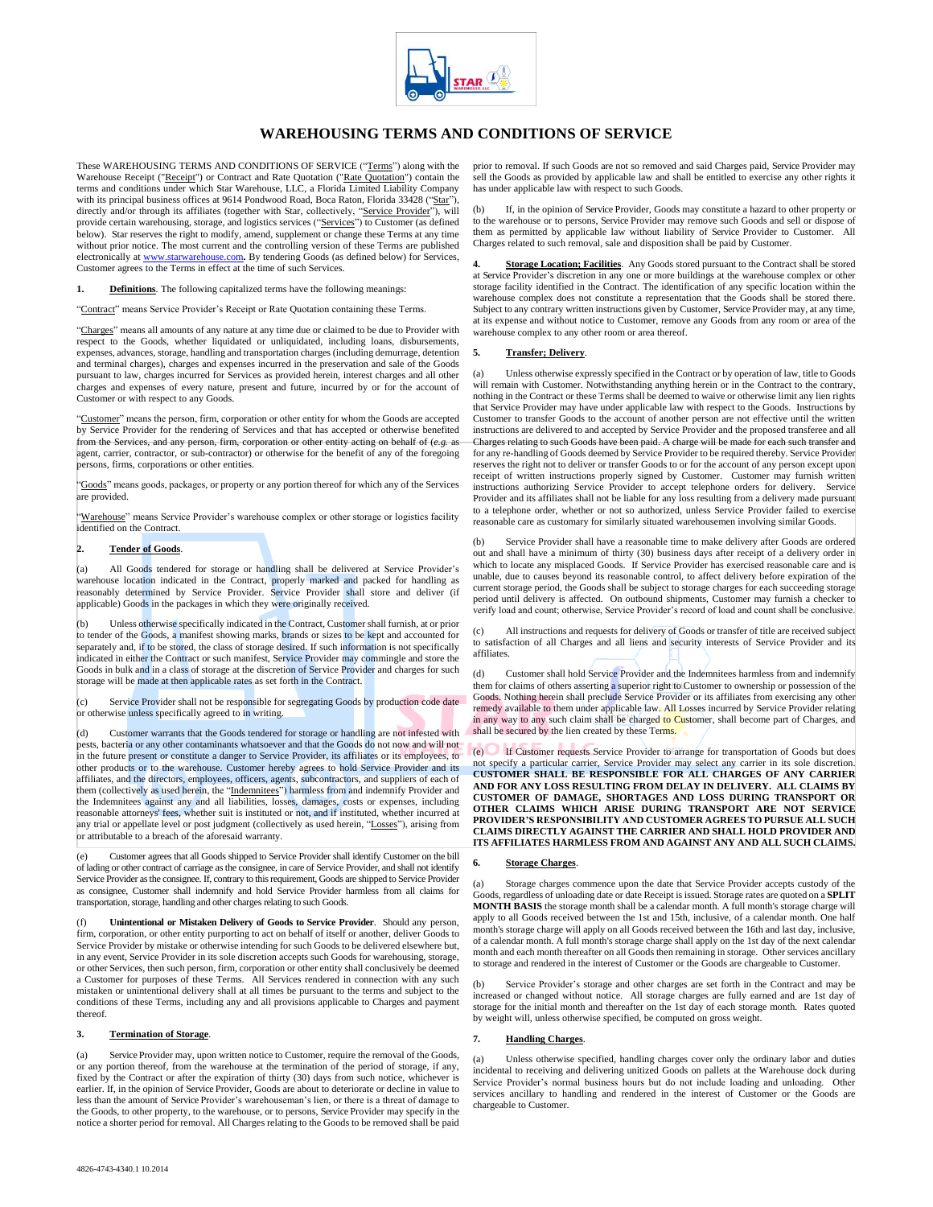

# **WAREHOUSING TERMS AND CONDITIONS OF SERVICE**

These WAREHOUSING TERMS AND CONDITIONS OF SERVICE ("Terms") along with the Warehouse Receipt ("Receipt") or Contract and Rate Quotation ("Rate Quotation") contain the terms and conditions under which Star Warehouse, LLC, a Florida Limited Liability Company with its principal business offices at 9614 Pondwood Road, Boca Raton, Florida 33428 ("Star") directly and/or through its affiliates (together with Star, collectively, "Service Provider"), will provide certain warehousing, storage, and logistics services ("Services") to Customer (as defined below). Star reserves the right to modify, amend, supplement or change these Terms at any time without prior notice. The most current and the controlling version of these Terms are published electronically at www.starwarehouse.com, By tendering Goods (as defined below) for Services. com. By tendering Goods (as defined below) for Services, Customer agrees to the Terms in effect at the time of such Services.

**1. Definitions**. The following capitalized terms have the following meanings:

"Contract" means Service Provider's Receipt or Rate Quotation containing these Terms.

"Charges" means all amounts of any nature at any time due or claimed to be due to Provider with respect to the Goods, whether liquidated or unliquidated, including loans, disbursements, expenses, advances, storage, handling and transportation charges (including demurrage, detention and terminal charges), charges and expenses incurred in the preservation and sale of the Goods pursuant to law, charges incurred for Services as provided herein, interest charges and all other charges and expenses of every nature, present and future, incurred by or for the account of Customer or with respect to any Goods.

"Customer" means the person, firm, corporation or other entity for whom the Goods are accepted by Service Provider for the rendering of Services and that has accepted or otherwise benefited from the Services, and any person, firm, corporation or other entity acting on behalf of (*e.g.* as agent, carrier, contractor, or sub-contractor) or otherwise for the benefit of any of the foregoing persons, firms, corporations or other entities.

"Goods" means goods, packages, or property or any portion thereof for which any of the Services are provided.

"Warehouse" means Service Provider's warehouse complex or other storage or logistics facility identified on the Contract.

#### **2. Tender of Goods**.

(a) All Goods tendered for storage or handling shall be delivered at Service Provider's warehouse location indicated in the Contract, properly marked and packed for handling as reasonably determined by Service Provider. Service Provider shall store and deliver (if applicable) Goods in the packages in which they were originally received.

(b) Unless otherwise specifically indicated in the Contract, Customer shall furnish, at or prior to tender of the Goods, a manifest showing marks, brands or sizes to be kept and accounted for separately and, if to be stored, the class of storage desired. If such information is not specifically indicated in either the Contract or such manifest, Service Provider may commingle and store the Goods in bulk and in a class of storage at the discretion of Service Provider and charges for such storage will be made at then applicable rates as set forth in the Contract.

(c) Service Provider shall not be responsible for segregating Goods by production code date or otherwise unless specifically agreed to in writing.

(d) Customer warrants that the Goods tendered for storage or handling are not infested with pests, bacteria or any other contaminants whatsoever and that the Goods do not now and will not in the future present or constitute a danger to Service Provider, its affiliates or its employees, to other products or to the warehouse. Customer hereby agrees to hold Service Provider and its affiliates, and the directors, employees, officers, agents, subcontractors, and suppliers of each of them (collectively as used herein, the "Indemnitees") harmless from and indemnify Provider and the Indemnitees against any and all liabilities, losses, damages, costs or expenses, including reasonable attorneys' fees, whether suit is instituted or not, and if instituted, whether incurred at any trial or appellate level or post judgment (collectively as used herein, "Losses"), arising from or attributable to a breach of the aforesaid warranty.

Customer agrees that all Goods shipped to Service Provider shall identify Customer on the bill of lading or other contract of carriage as the consignee, in care of Service Provider, and shall not identify Service Provider as the consignee. If, contrary to this requirement, Goods are shipped to Service Provider as consignee, Customer shall indemnify and hold Service Provider harmless from all claims for transportation, storage, handling and other charges relating to such Goods.

(f) **Unintentional or Mistaken Delivery of Goods to Service Provider**. Should any person, firm, corporation, or other entity purporting to act on behalf of itself or another, deliver Goods to Service Provider by mistake or otherwise intending for such Goods to be delivered elsewhere but, in any event, Service Provider in its sole discretion accepts such Goods for warehousing, storage, or other Services, then such person, firm, corporation or other entity shall conclusively be deemed a Customer for purposes of these Terms. All Services rendered in connection with any such mistaken or unintentional delivery shall at all times be pursuant to the terms and subject to the conditions of these Terms, including any and all provisions applicable to Charges and payment thereof.

### **3. Termination of Storage**.

(a) Service Provider may, upon written notice to Customer, require the removal of the Goods, or any portion thereof, from the warehouse at the termination of the period of storage, if any, fixed by the Contract or after the expiration of thirty (30) days from such notice, whichever is earlier. If, in the opinion of Service Provider, Goods are about to deteriorate or decline in value to less than the amount of Service Provider's warehouseman's lien, or there is a threat of damage to the Goods, to other property, to the warehouse, or to persons, Service Provider may specify in the notice a shorter period for removal. All Charges relating to the Goods to be removed shall be paid

(b) If, in the opinion of Service Provider, Goods may constitute a hazard to other property or to the warehouse or to persons, Service Provider may remove such Goods and sell or dispose of them as permitted by applicable law without liability of Service Provider to Customer. All Charges related to such removal, sale and disposition shall be paid by Customer.

**4. Storage Location; Facilities**. Any Goods stored pursuant to the Contract shall be stored at Service Provider's discretion in any one or more buildings at the warehouse complex or other storage facility identified in the Contract. The identification of any specific location within the warehouse complex does not constitute a representation that the Goods shall be stored there. Subject to any contrary written instructions given by Customer, Service Provider may, at any time, at its expense and without notice to Customer, remove any Goods from any room or area of the warehouse complex to any other room or area thereof.

#### **5. Transfer; Delivery**.

Unless otherwise expressly specified in the Contract or by operation of law, title to Goods will remain with Customer. Notwithstanding anything herein or in the Contract to the contrary, nothing in the Contract or these Terms shall be deemed to waive or otherwise limit any lien rights that Service Provider may have under applicable law with respect to the Goods. Instructions by Customer to transfer Goods to the account of another person are not effective until the written instructions are delivered to and accepted by Service Provider and the proposed transferee and all Charges relating to such Goods have been paid. A charge will be made for each such transfer and for any re-handling of Goods deemed by Service Provider to be required thereby. Service Provider reserves the right not to deliver or transfer Goods to or for the account of any person except upon receipt of written instructions properly signed by Customer. Customer may furnish written instructions authorizing Service Provider to accept telephone orders for delivery. Service Provider and its affiliates shall not be liable for any loss resulting from a delivery made pursuant to a telephone order, whether or not so authorized, unless Service Provider failed to exercise reasonable care as customary for similarly situated warehousemen involving similar Goods.

(b) Service Provider shall have a reasonable time to make delivery after Goods are ordered out and shall have a minimum of thirty (30) business days after receipt of a delivery order in which to locate any misplaced Goods. If Service Provider has exercised reasonable care and is unable, due to causes beyond its reasonable control, to affect delivery before expiration of the current storage period, the Goods shall be subject to storage charges for each succeeding storage period until delivery is affected. On outbound shipments, Customer may furnish a checker to verify load and count; otherwise, Service Provider's record of load and count shall be conclusive.

(c) All instructions and requests for delivery of Goods or transfer of title are received subject to satisfaction of all Charges and all liens and security interests of Service Provider and its affiliates.

(d) Customer shall hold Service Provider and the Indemnitees harmless from and indemnify them for claims of others asserting a superior right to Customer to ownership or possession of the Goods. Nothing herein shall preclude Service Provider or its affiliates from exercising any other remedy available to them under applicable law. All Losses incurred by Service Provider relating in any way to any such claim shall be charged to Customer, shall become part of Charges, and shall be secured by the lien created by these Terms.

If Customer requests Service Provider to arrange for transportation of Goods but does not specify a particular carrier, Service Provider may select any carrier in its sole discretion. **CUSTOMER SHALL BE RESPONSIBLE FOR ALL CHARGES OF ANY CARRIER AND FOR ANY LOSS RESULTING FROM DELAY IN DELIVERY. ALL CLAIMS BY CUSTOMER OF DAMAGE, SHORTAGES AND LOSS DURING TRANSPORT OR OTHER CLAIMS WHICH ARISE DURING TRANSPORT ARE NOT SERVICE PROVIDER'S RESPONSIBILITY AND CUSTOMER AGREES TO PURSUE ALL SUCH CLAIMS DIRECTLY AGAINST THE CARRIER AND SHALL HOLD PROVIDER AND ITS AFFILIATES HARMLESS FROM AND AGAINST ANY AND ALL SUCH CLAIMS.**

#### **6. Storage Charges**.

(a) Storage charges commence upon the date that Service Provider accepts custody of the Goods, regardless of unloading date or date Receipt is issued. Storage rates are quoted on a **SPLIT MONTH BASIS** the storage month shall be a calendar month. A full month's storage charge will apply to all Goods received between the 1st and 15th, inclusive, of a calendar month. One half month's storage charge will apply on all Goods received between the 16th and last day, inclusive, of a calendar month. A full month's storage charge shall apply on the 1st day of the next calendar month and each month thereafter on all Goods then remaining in storage. Other services ancillary to storage and rendered in the interest of Customer or the Goods are chargeable to Customer.

(b) Service Provider's storage and other charges are set forth in the Contract and may be increased or changed without notice. All storage charges are fully earned and are 1st day of storage for the initial month and thereafter on the 1st day of each storage month. Rates quoted by weight will, unless otherwise specified, be computed on gross weight.

### **7. Handling Charges**.

(a) Unless otherwise specified, handling charges cover only the ordinary labor and duties incidental to receiving and delivering unitized Goods on pallets at the Warehouse dock during Service Provider's normal business hours but do not include loading and unloading. Other services ancillary to handling and rendered in the interest of Customer or the Goods are chargeable to Customer.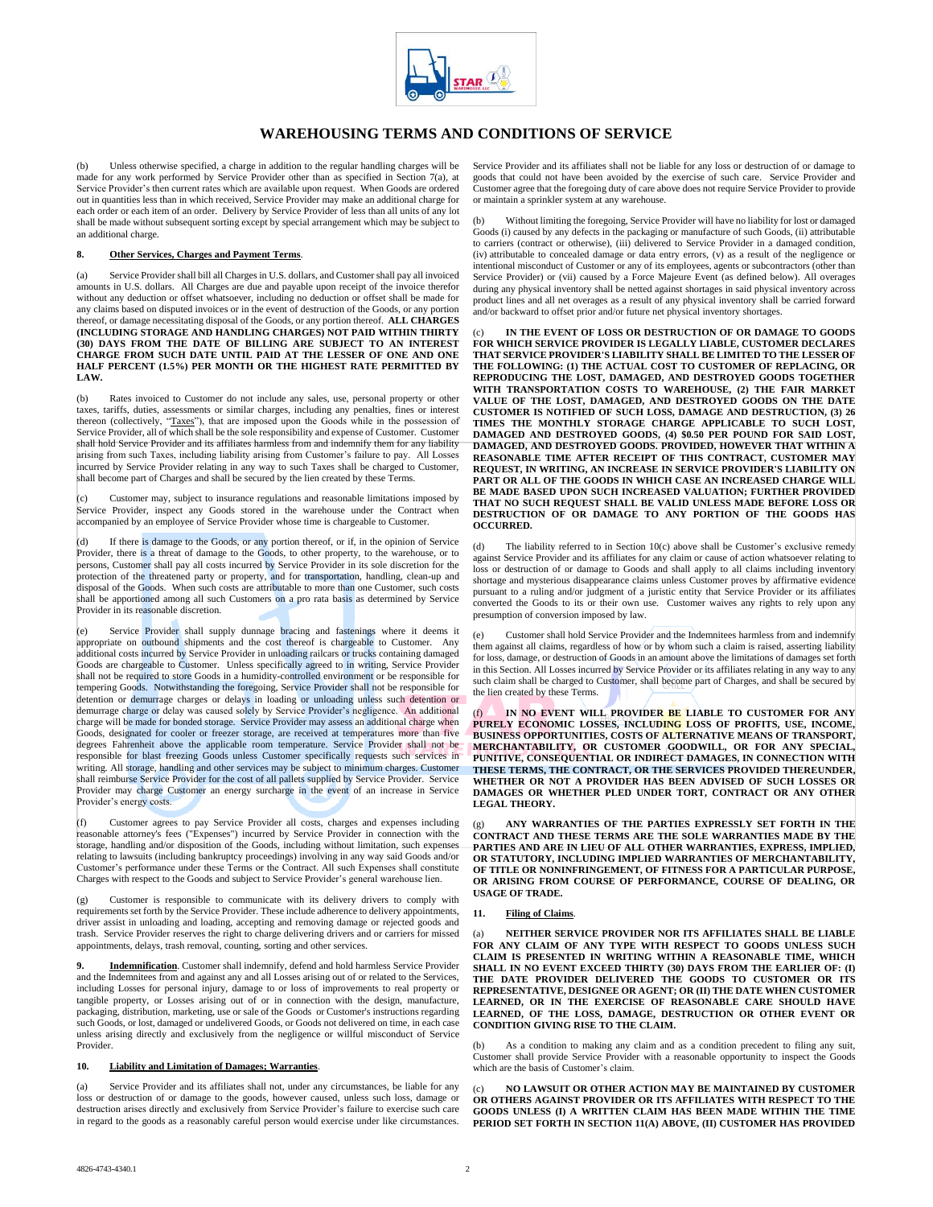

# **WAREHOUSING TERMS AND CONDITIONS OF SERVICE**

(b) Unless otherwise specified, a charge in addition to the regular handling charges will be made for any work performed by Service Provider other than as specified in Section 7(a), at Service Provider's then current rates which are available upon request. When Goods are ordered out in quantities less than in which received, Service Provider may make an additional charge for each order or each item of an order. Delivery by Service Provider of less than all units of any lot shall be made without subsequent sorting except by special arrangement which may be subject to an additional charge.

#### **8. Other Services, Charges and Payment Terms**.

(a) Service Provider shall bill all Charges in U.S. dollars, and Customer shall pay all invoiced amounts in U.S. dollars. All Charges are due and payable upon receipt of the invoice therefor without any deduction or offset whatsoever, including no deduction or offset shall be made for any claims based on disputed invoices or in the event of destruction of the Goods, or any portion thereof, or damage necessitating disposal of the Goods, or any portion thereof. **ALL CHARGES (INCLUDING STORAGE AND HANDLING CHARGES) NOT PAID WITHIN THIRTY (30) DAYS FROM THE DATE OF BILLING ARE SUBJECT TO AN INTEREST CHARGE FROM SUCH DATE UNTIL PAID AT THE LESSER OF ONE AND ONE HALF PERCENT (1.5%) PER MONTH OR THE HIGHEST RATE PERMITTED BY LAW.**

(b) Rates invoiced to Customer do not include any sales, use, personal property or other taxes, tariffs, duties, assessments or similar charges, including any penalties, fines or interest thereon (collectively, "Taxes"), that are imposed upon the Goods while in the possession of Service Provider, all of which shall be the sole responsibility and expense of Customer. Customer shall hold Service Provider and its affiliates harmless from and indemnify them for any liability arising from such Taxes, including liability arising from Customer's failure to pay. All Losses incurred by Service Provider relating in any way to such Taxes shall be charged to Customer, shall become part of Charges and shall be secured by the lien created by these Terms.

(c) Customer may, subject to insurance regulations and reasonable limitations imposed by Service Provider, inspect any Goods stored in the warehouse under the Contract when accompanied by an employee of Service Provider whose time is chargeable to Customer.

(d) If there is damage to the Goods, or any portion thereof, or if, in the opinion of Service Provider, there is a threat of damage to the Goods, to other property, to the warehouse, or to persons, Customer shall pay all costs incurred by Service Provider in its sole discretion for the protection of the threatened party or property, and for transportation, handling, clean-up and disposal of the Goods. When such costs are attributable to more than one Customer, such costs shall be apportioned among all such Customers on a pro rata basis as determined by Service Provider in its reasonable discretion.

Service Provider shall supply dunnage bracing and fastenings where it deems it appropriate on outbound shipments and the cost thereof is chargeable to Customer. Any additional costs incurred by Service Provider in unloading railcars or trucks containing damaged Goods are chargeable to Customer. Unless specifically agreed to in writing, Service Provider shall not be required to store Goods in a humidity-controlled environment or be responsible for tempering Goods. Notwithstanding the foregoing, Service Provider shall not be responsible for detention or demurrage charges or delays in loading or unloading unless such detention or demurrage charge or delay was caused solely by Service Provider's negligence. An additional charge will be made for bonded storage. Service Provider may assess an additional charge when Goods, designated for cooler or freezer storage, are received at temperatures more than five degrees Fahrenheit above the applicable room temperature. Service Provider shall not be responsible for blast freezing Goods unless Customer specifically requests such services in writing. All storage, handling and other services may be subject to minimum charges. Customer shall reimburse Service Provider for the cost of all pallets supplied by Service Provider. Service Provider may charge Customer an energy surcharge in the event of an increase in Service Provider's energy costs.

(f) Customer agrees to pay Service Provider all costs, charges and expenses including reasonable attorney's fees ("Expenses") incurred by Service Provider in connection with the storage, handling and/or disposition of the Goods, including without limitation, such expenses relating to lawsuits (including bankruptcy proceedings) involving in any way said Goods and/or Customer's performance under these Terms or the Contract. All such Expenses shall constitute Charges with respect to the Goods and subject to Service Provider's general warehouse lien.

Customer is responsible to communicate with its delivery drivers to comply with requirements set forth by the Service Provider. These include adherence to delivery appointments, driver assist in unloading and loading, accepting and removing damage or rejected goods and trash. Service Provider reserves the right to charge delivering drivers and or carriers for missed appointments, delays, trash removal, counting, sorting and other services.

**9. Indemnification**. Customer shall indemnify, defend and hold harmless Service Provider and the Indemnitees from and against any and all Losses arising out of or related to the Services, including Losses for personal injury, damage to or loss of improvements to real property or tangible property, or Losses arising out of or in connection with the design, manufacture, packaging, distribution, marketing, use or sale of the Goods or Customer's instructions regarding such Goods, or lost, damaged or undelivered Goods, or Goods not delivered on time, in each case unless arising directly and exclusively from the negligence or willful misconduct of Service Provider

## **10. Liability and Limitation of Damages; Warranties**.

(a) Service Provider and its affiliates shall not, under any circumstances, be liable for any loss or destruction of or damage to the goods, however caused, unless such loss, damage or destruction arises directly and exclusively from Service Provider's failure to exercise such care in regard to the goods as a reasonably careful person would exercise under like circumstances.

Service Provider and its affiliates shall not be liable for any loss or destruction of or damage to goods that could not have been avoided by the exercise of such care.Service Provider and Customer agree that the foregoing duty of care above does not require Service Provider to provide or maintain a sprinkler system at any warehouse.

(b) Without limiting the foregoing, Service Provider will have no liability for lost or damaged Goods (i) caused by any defects in the packaging or manufacture of such Goods, (ii) attributable to carriers (contract or otherwise), (iii) delivered to Service Provider in a damaged condition, (iv) attributable to concealed damage or data entry errors, (v) as a result of the negligence or intentional misconduct of Customer or any of its employees, agents or subcontractors (other than Service Provider) or (vii) caused by a Force Majeure Event (as defined below). All overages during any physical inventory shall be netted against shortages in said physical inventory across product lines and all net overages as a result of any physical inventory shall be carried forward and/or backward to offset prior and/or future net physical inventory shortages.

IN THE EVENT OF LOSS OR DESTRUCTION OF OR DAMAGE TO GOODS **FOR WHICH SERVICE PROVIDER IS LEGALLY LIABLE, CUSTOMER DECLARES THAT SERVICE PROVIDER'S LIABILITY SHALL BE LIMITED TO THE LESSER OF THE FOLLOWING: (1) THE ACTUAL COST TO CUSTOMER OF REPLACING, OR REPRODUCING THE LOST, DAMAGED, AND DESTROYED GOODS TOGETHER WITH TRANSPORTATION COSTS TO WAREHOUSE, (2) THE FAIR MARKET VALUE OF THE LOST, DAMAGED, AND DESTROYED GOODS ON THE DATE CUSTOMER IS NOTIFIED OF SUCH LOSS, DAMAGE AND DESTRUCTION, (3) 26 TIMES THE MONTHLY STORAGE CHARGE APPLICABLE TO SUCH LOST, DAMAGED AND DESTROYED GOODS, (4) \$0.50 PER POUND FOR SAID LOST, DAMAGED, AND DESTROYED GOODS. PROVIDED, HOWEVER THAT WITHIN A REASONABLE TIME AFTER RECEIPT OF THIS CONTRACT, CUSTOMER MAY REQUEST, IN WRITING, AN INCREASE IN SERVICE PROVIDER'S LIABILITY ON PART OR ALL OF THE GOODS IN WHICH CASE AN INCREASED CHARGE WILL BE MADE BASED UPON SUCH INCREASED VALUATION; FURTHER PROVIDED THAT NO SUCH REQUEST SHALL BE VALID UNLESS MADE BEFORE LOSS OR DESTRUCTION OF OR DAMAGE TO ANY PORTION OF THE GOODS HAS OCCURRED.**

The liability referred to in Section  $10(c)$  above shall be Customer's exclusive remedy against Service Provider and its affiliates for any claim or cause of action whatsoever relating to loss or destruction of or damage to Goods and shall apply to all claims including inventory shortage and mysterious disappearance claims unless Customer proves by affirmative evidence pursuant to a ruling and/or judgment of a juristic entity that Service Provider or its affiliates converted the Goods to its or their own use. Customer waives any rights to rely upon any presumption of conversion imposed by law.

(e) Customer shall hold Service Provider and the Indemnitees harmless from and indemnify them against all claims, regardless of how or by whom such a claim is raised, asserting liability for loss, damage, or destruction of Goods in an amount above the limitations of damages set forth in this Section. All Losses incurred by Service Provider or its affiliates relating in any way to any such claim shall be charged to Customer, shall become part of Charges, and shall be secured by the lien created by these Terms.

IN NO EVENT WILL PROVIDER BE LIABLE TO CUSTOMER FOR ANY **PURELY ECONOMIC LOSSES, INCLUDING LOSS OF PROFITS, USE, INCOME, BUSINESS OPPORTUNITIES, COSTS OF ALTERNATIVE MEANS OF TRANSPORT, MERCHANTABILITY, OR CUSTOMER GOODWILL, OR FOR ANY SPECIAL, PUNITIVE, CONSEQUENTIAL OR INDIRECT DAMAGES, IN CONNECTION WITH THESE TERMS, THE CONTRACT, OR THE SERVICES PROVIDED THEREUNDER, WHETHER OR NOT A PROVIDER HAS BEEN ADVISED OF SUCH LOSSES OR DAMAGES OR WHETHER PLED UNDER TORT, CONTRACT OR ANY OTHER LEGAL THEORY.**

(g) **ANY WARRANTIES OF THE PARTIES EXPRESSLY SET FORTH IN THE CONTRACT AND THESE TERMS ARE THE SOLE WARRANTIES MADE BY THE PARTIES AND ARE IN LIEU OF ALL OTHER WARRANTIES, EXPRESS, IMPLIED, OR STATUTORY, INCLUDING IMPLIED WARRANTIES OF MERCHANTABILITY, OF TITLE OR NONINFRINGEMENT, OF FITNESS FOR A PARTICULAR PURPOSE, OR ARISING FROM COURSE OF PERFORMANCE, COURSE OF DEALING, OR USAGE OF TRADE.**

#### **11. Filing of Claims**.

(a) **NEITHER SERVICE PROVIDER NOR ITS AFFILIATES SHALL BE LIABLE**  FOR ANY CLAIM OF ANY TYPE WITH RESPECT TO GOODS UNLESS SUCH **CLAIM IS PRESENTED IN WRITING WITHIN A REASONABLE TIME, WHICH SHALL IN NO EVENT EXCEED THIRTY (30) DAYS FROM THE EARLIER OF: (I) THE DATE PROVIDER DELIVERED THE GOODS TO CUSTOMER OR ITS REPRESENTATIVE, DESIGNEE OR AGENT; OR (II) THE DATE WHEN CUSTOMER LEARNED, OR IN THE EXERCISE OF REASONABLE CARE SHOULD HAVE LEARNED, OF THE LOSS, DAMAGE, DESTRUCTION OR OTHER EVENT OR CONDITION GIVING RISE TO THE CLAIM.**

As a condition to making any claim and as a condition precedent to filing any suit, Customer shall provide Service Provider with a reasonable opportunity to inspect the Goods which are the basis of Customer's claim.

(c) **NO LAWSUIT OR OTHER ACTION MAY BE MAINTAINED BY CUSTOMER OR OTHERS AGAINST PROVIDER OR ITS AFFILIATES WITH RESPECT TO THE GOODS UNLESS (I) A WRITTEN CLAIM HAS BEEN MADE WITHIN THE TIME PERIOD SET FORTH IN SECTION 11(A) ABOVE, (II) CUSTOMER HAS PROVIDED**